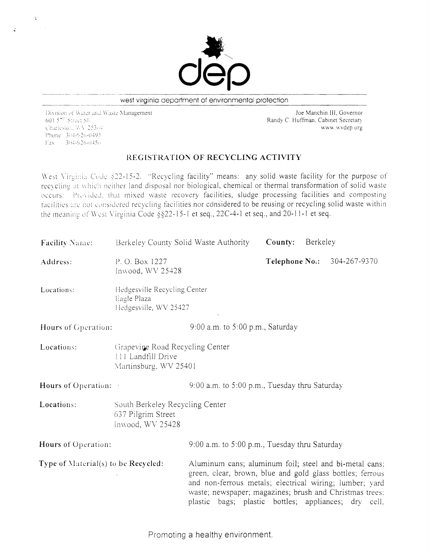. .

> Joe Manchin III, Governor Randy C. Huffman, Cabinet Secretary

## REGISTRATION OF RECYCLING ACTIVITY

West Virginia Code §22-15-2. "Recycling facility" means: any solid waste facility for the purpose of recycling at which neither land disposal nor biological, chemical or thermal transformation of solid waste occurs: Provided, that mixed waste recovery facilities, sludge processing facilities and composting facilities are not considered recycling facilities nor considered to be reusing or recycling solid waste within the meaning of West Virginia Code §§22-15-1 et seq., 22C-4-1 et seq., and 20-11-1 et seq.



west virginia department of environmental protection

Division of Water and Waste Management 601 5<sup>mm</sup> Street SE Charleston, WA 25304 www.wvdep.org Phone: 304-926-0495  $\text{Fax} = 304 - 926 - 0456$ 

Locations: South Berkeley Recycling Center G37 Pilgrim Street In\\'ood, *w\r 254')8* 

Hours of Operation: 9:00 a.m. to 5:00 p.m., Tuesday thru Saturday

Type of Material(s) to be Recycled: Aluminum cans; aluminum foil; steel and bi-metal cans; green, clear, brown, blue and gold glass bottles; ferrous and non-ferrous metals; electrical wiring; lumber; yard waste; newspaper; magazines; brush and Christmas trees; plastic bags; plastic bottles; appliances; dry cell,

| <b>Facility Name:</b> | Berkeley County Solid Waste Authority                                | $County$ : | Berkeley |                                    |
|-----------------------|----------------------------------------------------------------------|------------|----------|------------------------------------|
| Address:              | P. O. Box 1227<br>Inwood, $WV$ 25428                                 |            |          | <b>Telephone No.:</b> 304-267-9370 |
| Locations:            | Hedgesville Recycling Center<br>Eagle Plaza<br>Hedgesville, WV 25427 |            |          |                                    |

Hours of Operation: 9:00 a.m. to 5:00 p.m., Saturday

Locations: Grapevine Road Recycling Center 11] Landfill Drive Martinsburg, WV 25401

Hours of Operation: 9:00 a.m. to 5:00 p.m., Tuesday thru Saturday

Promoting a healthy environment.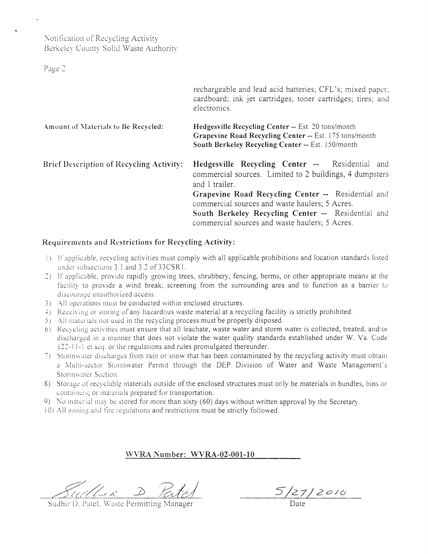# Notification of Recycling Activity Berkeley County Solid Waste Authority

Page 2

 $\ddot{\phantom{1}}$ 

|                                          | rechargeable and lead acid batteries; CFL's; mixed paper;<br>cardboard; ink jet cartridges; toner cartridges; tires; and<br>electronics.                                                                                                                                                                                                     |  |
|------------------------------------------|----------------------------------------------------------------------------------------------------------------------------------------------------------------------------------------------------------------------------------------------------------------------------------------------------------------------------------------------|--|
| Amount of Materials to Be Recycled:      | Hedgesville Recycling Center -- Est. 20 tons/month<br>Grapevine Road Recycling Center -- Est. 175 tons/month<br>South Berkeley Recycling Center -- Est. 150/month                                                                                                                                                                            |  |
| Brief Description of Recycling Activity: | Hedgesville Recycling Center -- Residential and<br>commercial sources. Limited to 2 buildings, 4 dumpsters<br>and 1 trailer.<br>Grapevine Road Recycling Center -- Residential and<br>commercial sources and waste haulers; 5 Acres.<br>South Berkeley Recycling Center -- Residential and<br>commercial sources and waste haulers; 5 Acres. |  |

### Requirements and Restrictions for Recycling Activity:

- If applicable, recycling activities must comply with all applicable prohibitions and location standards listed  $\left| \ \right|$ under subsections 3.1 and 3.2 of 33CSR1.
- 2) If applicable, provide rapidly growing trees, shrubbery, fencing, berms, or other appropriate means at the facility to provide a wind break, screening from the surrounding area and to function as a barrier to discourage unauthorized access.
- 3) All operations must be conducted within enclosed structures.
- 4) Receiving or storing of any hazardous waste material at a recycling facility is strictly prohibited. 5) All materials not used in the recycling process must be properly disposed.
- 6) Recycling activities must ensure that all leachate, waste water and storm water is collected, treated, and/or discharged in a manner that does not violate the water quality standards established under W. Va. Code §22-11-1 et seq. or the regulations and rules promulgated thereunder.
- 7) Stormwater discharges from rain or snow that has been contaminated by the recycling activity must obtain a Multi-sector Stormwater Permit through the DEP Division of Water and Waste Management's Stormwater Section.
- Storage of recyclable materials outside of the enclosed structures must only be materials in bundles, bins or  $S$ ) containers; or materials prepared for transportation.
- 9) No material may be stored for more than sixty (60) days without written approval by the Secretary.
- 10) All zoning and fire regulations and restrictions must be strictly followed.

#### WVRA Number: WVRA-02-001-10

Sud lui R

Sudhir D. Patel, Waste Permitting Manager

 $5/27/2010$